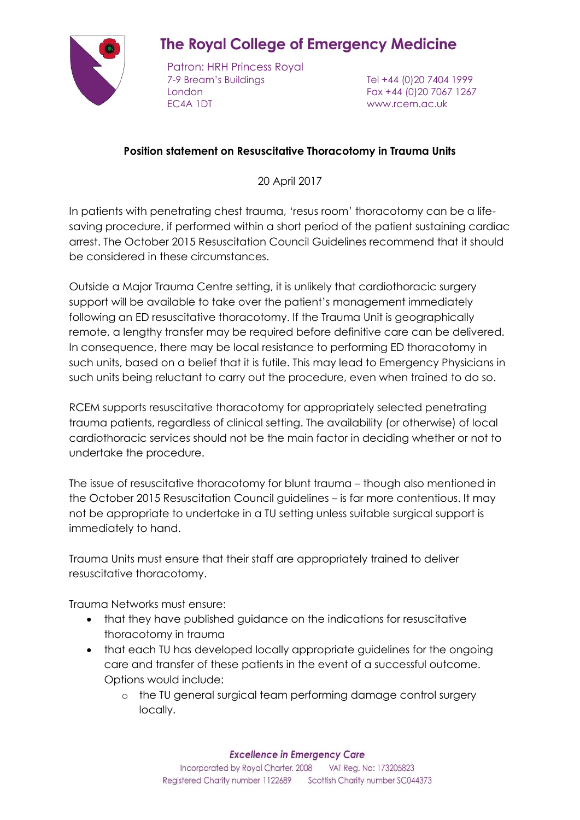## **The Royal College of Emergency Medicine**

Patron: HRH Princess Royal 7-9 Bream's Buildings Tel +44 (0)20 7404 1999 London Fax +44 (0)20 7067 1267 EC4A 1DT www.rcem.ac.uk

## **Position statement on Resuscitative Thoracotomy in Trauma Units**

20 April 2017

In patients with penetrating chest trauma, 'resus room' thoracotomy can be a lifesaving procedure, if performed within a short period of the patient sustaining cardiac arrest. The October 2015 Resuscitation Council Guidelines recommend that it should be considered in these circumstances.

Outside a Major Trauma Centre setting, it is unlikely that cardiothoracic surgery support will be available to take over the patient's management immediately following an ED resuscitative thoracotomy. If the Trauma Unit is geographically remote, a lengthy transfer may be required before definitive care can be delivered. In consequence, there may be local resistance to performing ED thoracotomy in such units, based on a belief that it is futile. This may lead to Emergency Physicians in such units being reluctant to carry out the procedure, even when trained to do so.

RCEM supports resuscitative thoracotomy for appropriately selected penetrating trauma patients, regardless of clinical setting. The availability (or otherwise) of local cardiothoracic services should not be the main factor in deciding whether or not to undertake the procedure.

The issue of resuscitative thoracotomy for blunt trauma – though also mentioned in the October 2015 Resuscitation Council guidelines – is far more contentious. It may not be appropriate to undertake in a TU setting unless suitable surgical support is immediately to hand.

Trauma Units must ensure that their staff are appropriately trained to deliver resuscitative thoracotomy.

Trauma Networks must ensure:

- that they have published guidance on the indications for resuscitative thoracotomy in trauma
- that each TU has developed locally appropriate guidelines for the ongoing care and transfer of these patients in the event of a successful outcome. Options would include:
	- o the TU general surgical team performing damage control surgery locally.